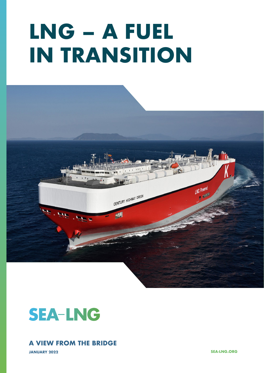# **LNG – A FUEL IN TRANSITION**





### **A VIEW FROM THE BRIDGE**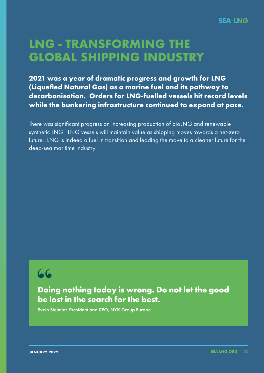## **LNG - TRANSFORMING THE GLOBAL SHIPPING INDUSTRY**

**2021 was a year of dramatic progress and growth for LNG (Liquefied Natural Gas) as a marine fuel and its pathway to decarbonisation. Orders for LNG-fuelled vessels hit record levels while the bunkering infrastructure continued to expand at pace.** 

There was significant progress on increasing production of bioLNG and renewable synthetic LNG. LNG vessels will maintain value as shipping moves towards a net-zero future. LNG is indeed a fuel in transition and leading the move to a cleaner future for the deep-sea maritime industry.

## **"**

**Doing nothing today is wrong. Do not let the good be lost in the search for the best.**

Svein Steimler, President and CEO, NYK Group Europe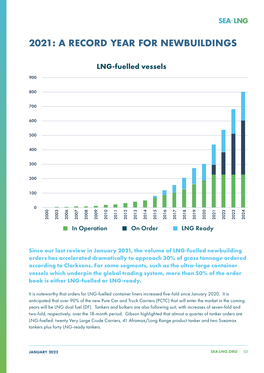## **2021: A RECORD YEAR FOR NEWBUILDINGS**



### **LNG-fuelled vessels**

**Since our last review in January 2021, the volume of LNG-fuelled newbuilding orders has accelerated dramatically to approach 30% of gross tonnage ordered according to Clarksons. For some segments, such as the ultra-large container vessels which underpin the global trading system, more than 50% of the order book is either LNG-fuelled or LNG-ready.** 

It is noteworthy that orders for LNG-fuelled container liners increased five-fold since January 2020. It is anticipated that over 90% of the new Pure Car and Truck Carriers (PCTC) that will enter the market in the coming years will be LNG dual fuel (DF). Tankers and bulkers are also following suit, with increases of seven-fold and two-fold, respectively, over the 18-month period. Gibson highlighted that almost a quarter of tanker orders are LNG-fuelled: twenty Very Large Crude Carriers, 41 Aframax/Long Range product tanker and two Suezmax tankers plus forty LNG-ready tankers.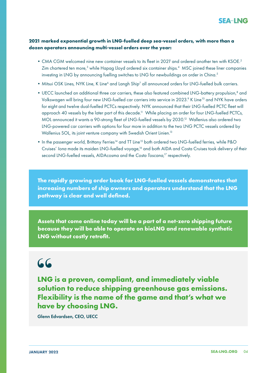

### **2021 marked exponential growth in LNG-fuelled deep sea-vessel orders, with more than a dozen operators announcing multi-vessel orders over the year:**

- CMA CGM welcomed nine new container vessels to its fleet in 2021<sup>1</sup> and ordered another ten with KSOE.<sup>2</sup> Zim chartered ten more,<sup>3</sup> while Hapag Lloyd ordered six container ships.<sup>4</sup> MSC joined these liner companies investing in LNG by announcing fuelling switches to LNG for newbuildings on order in China.<sup>5</sup>
	- Mitsui OSK Lines, NYK Line, K Line<sup>6</sup> and Langh Ship<sup>7</sup> all announced orders for LNG-fuelled bulk carriers.
- UECC launched an additional three car carriers, these also featured combined LNG-battery propulsion,<sup>8</sup> and Volkswagen will bring four new LNG-fuelled car carriers into service in 2023.<sup>9</sup> K Line<sup>10</sup> and NYK have orders for eight and twelve dual-fuelled PCTCs respectively. NYK announced that their LNG-fuelled PCTC fleet will approach 40 vessels by the later part of this decade.<sup>11</sup> While placing an order for four LNG-fuelled PCTCs, MOL announced it wants a 90-strong fleet of LNG-fuelled vessels by 2030.12 Wallenius also ordered two LNG-powered car carriers with options for four more in addition to the two LNG PCTC vessels ordered by Wallenius SOL, its joint venture company with Swedish Orient Linien.<sup>13</sup>
- In the passenger world, Brittany Ferries<sup>14</sup> and TT Line<sup>15</sup> both ordered two LNG-fuelled ferries, while P&O Cruises' *Iona* made its maiden LNG-fuelled voyage,<sup>16</sup> and both AIDA and Costa Cruises took delivery of their second LNG-fuelled vessels, AIDAcosma and the *Costa Toscana*, 17 respectively.

**The rapidly growing order book for LNG-fuelled vessels demonstrates that increasing numbers of ship owners and operators understand that the LNG pathway is clear and well defined.** 

**Assets that come online today will be a part of a net-zero shipping future because they will be able to operate on bioLNG and renewable synthetic LNG without costly retrofit.**

## **"**

**LNG is a proven, compliant, and immediately viable solution to reduce shipping greenhouse gas emissions. Flexibility is the name of the game and that's what we have by choosing LNG.**

Glenn Edvardsen, CEO, UECC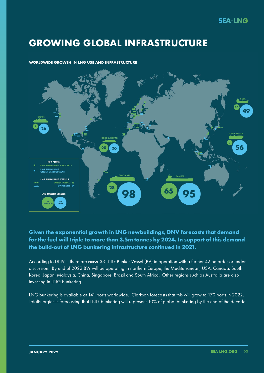## **GROWING GLOBAL INFRASTRUCTURE**

### **WORLDWIDE GROWTH IN LNG USE AND INFRASTRUCTURE**



### **Given the exponential growth in LNG newbuildings, DNV forecasts that demand for the fuel will triple to more than 3.5m tonnes by 2024. In support of this demand the build-out of LNG bunkering infrastructure continued in 2021.**

According to DNV – there are **now** 33 LNG Bunker Vessel (BV) in operation with a further 42 on order or under discussion. By end of 2022 BVs will be operating in northern Europe, the Mediterranean, USA, Canada, South Korea, Japan, Malaysia, China, Singapore, Brazil and South Africa. Other regions such as Australia are also investing in LNG bunkering.

LNG bunkering is available at 141 ports worldwide. Clarkson forecasts that this will grow to 170 ports in 2022. TotalEnergies is forecasting that LNG bunkering will represent 10% of global bunkering by the end of the decade.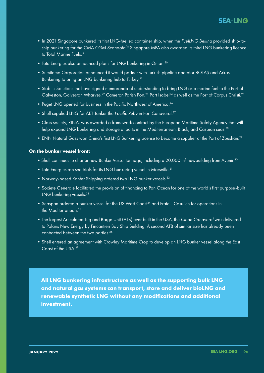### **SEA-LNG**

- •In 2021 Singapore bunkered its first LNG-fuelled container ship, when the *FuelLNG Bellina* provided ship-to ship bunkering for the *CMA CGM Scandola*. 18 Singapore MPA also awarded its third LNG bunkering licence to Total Marine Fuels.19
	- TotalEnergies also announced plans for LNG bunkering in Oman.<sup>20</sup>
	- •Sumitomo Corporation announced it would partner with Turkish pipeline operator BOTAŞ and Arkas Bunkering to bring an LNG bunkering hub to Turkey.<sup>21</sup>
	- •Stabilis Solutions Inc have signed memoranda of understanding to bring LNG as a marine fuel to the Port of Galveston, Galveston Wharves,<sup>22</sup> Cameron Parish Port,<sup>23</sup> Port Isabel<sup>24</sup> as well as the Port of Corpus Christi.<sup>25</sup>
	- Puget LNG opened for business in the Pacific Northwest of America.<sup>26</sup>
	- Shell supplied LNG for AET Tanker the *Pacific Ruby* in Port Canaveral.<sup>27</sup>
	- •Class society, RINA, was awarded a framework contract by the European Maritime Safety Agency that will help expand LNG bunkering and storage at ports in the Mediterranean, Black, and Caspian seas.<sup>28</sup>
	- ENN Natural Gass won China's first LNG Bunkering License to become a supplier at the Port of Zoushan.<sup>29</sup>

### **On the bunker vessel front:**

- Shell continues to charter new Bunker Vessel tonnage, including a 20,000  $\text{m}^3$  newbuilding from Avenir. $^{30}$
- TotalEnergies ran sea trials for its LNG bunkering vessel in Marseille.<sup>31</sup>
- Norway-based Kanfer Shipping ordered two LNG bunker vessels.<sup>32</sup>
- •Societe Generale facilitated the provision of financing to Pan Ocean for one of the world's first purpose-built LNG bunkering vessels.<sup>33</sup>
- Seaspan ordered a bunker vessel for the US West Coast<sup>34</sup> and Fratelli Cosulich for operations in the Mediterranean.35
- •The largest Articulated Tug and Barge Unit (ATB) ever built in the USA, the *Clean Canaveral* was delivered to Polaris New Energy by Fincantieri Bay Ship Building. A second ATB of similar size has already been contracted between the two parties.<sup>36</sup>
- •Shell entered an agreement with Crowley Maritime Crop to develop an LNG bunker vessel along the East Coast of the USA.37

**All LNG bunkering infrastructure as well as the supporting bulk LNG and natural gas systems can transport, store and deliver bioLNG and renewable synthetic LNG without any modifications and additional investment.**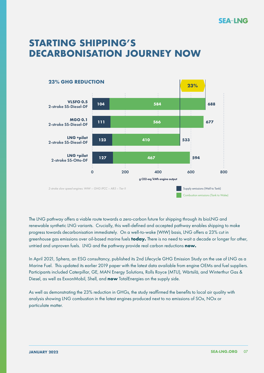### **SEA-LNG**

## **STARTING SHIPPING'S DECARBONISATION JOURNEY NOW**



The LNG pathway offers a viable route towards a zero-carbon future for shipping through its bioLNG and renewable synthetic LNG variants. Crucially, this well-defined and accepted pathway enables shipping to make progress towards decarbonisation immediately. On a well-to-wake (WtW) basis, LNG offers a 23% cut in greenhouse gas emissions over oil-based marine fuels **today.** There is no need to wait a decade or longer for other, untried and unproven fuels. LNG and the pathway provide real carbon reductions **now.**

In April 2021, Sphera, an ESG consultancy, published its 2nd Lifecycle GHG Emission Study on the use of LNG as a Marine Fuel. This updated its earlier 2019 paper with the latest data available from engine OEMs and fuel suppliers. Participants included Caterpillar, GE, MAN Energy Solutions, Rolls Royce (MTU), Wärtsilä, and Winterthur Gas & Diesel, as well as ExxonMobil, Shell, and **now** TotalEnergies on the supply side.

As well as demonstrating the 23% reduction in GHGs, the study reaffirmed the benefits to local air quality with analysis showing LNG combustion in the latest engines produced next to no emissions of SOx, NOx or particulate matter.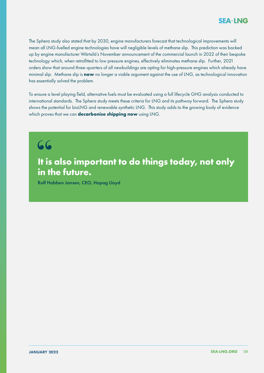The Sphera study also stated that by 2030, engine manufacturers forecast that technological improvements will mean all LNG-fuelled engine technologies have will negligible levels of methane slip. This prediction was backed up by engine manufacturer Wärtsilä's November announcement of the commercial launch in 2022 of their bespoke technology which, when retrofitted to low pressure engines, effectively eliminates methane slip. Further, 2021 orders show that around three-quarters of all newbuildings are opting for high-pressure engines which already have minimal slip. Methane slip is **now** no longer a viable argument against the use of LNG, as technological innovation has essentially solved the problem.

To ensure a level playing field, alternative fuels must be evaluated using a full lifecycle GHG analysis conducted to international standards. The Sphera study meets these criteria for LNG and its pathway forward. The Sphera study shows the potential for bioLNG and renewable synthetic LNG. This study adds to the growing body of evidence which proves that we can **decarbonise shipping now** using LNG.

# **" It is also important to do things today, not only in the future.**

Rolf Habben Jansen, CEO, Hapag Lloyd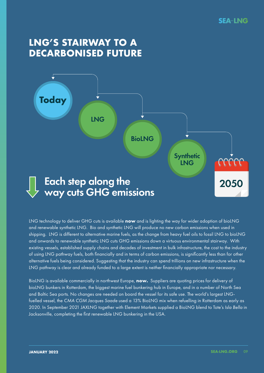## **LNG'S STAIRWAY TO A DECARBONISED FUTURE**



LNG technology to deliver GHG cuts is available **now** and is lighting the way for wider adoption of bioLNG and renewable synthetic LNG. Bio and synthetic LNG will produce no new carbon emissions when used in shipping. LNG is different to alternative marine fuels, as the change from heavy fuel oils to fossil LNG to bioLNG and onwards to renewable synthetic LNG cuts GHG emissions down a virtuous environmental stairway. With existing vessels, established supply chains and decades of investment in bulk infrastructure, the cost to the industry of using LNG pathway fuels, both financially and in terms of carbon emissions, is significantly less than for other alternative fuels being considered. Suggesting that the industry can spend trillions on new infrastructure when the LNG pathway is clear and already funded to a large extent is neither financially appropriate nor necessary.

BioLNG is available commercially in northwest Europe, **now.** Suppliers are quoting prices for delivery of bioLNG bunkers in Rotterdam, the biggest marine fuel bunkering hub in Europe, and in a number of North Sea and Baltic Sea ports. No changes are needed on board the vessel for its safe use. The world's largest LNGfuelled vessel, the *CMA CGM Jacques Saade* used a 13% BioLNG mix when refuelling in Rotterdam as early as 2020. In September 2021 JAXLNG together with Element Markets supplied a BioLNG blend to Tote's *Isla Bella* in Jacksonville, completing the first renewable LNG bunkering in the USA.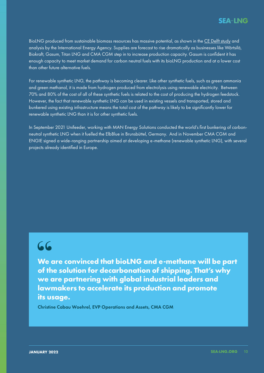BioLNG produced from sustainable biomass resources has massive potential, as shown in the [CE Delft study](https://sea-lng.org/reports/availability-and-costs-of-liquefied-bio-and-synthetic-methane-the-maritime-shipping-perspective/) and analysis by the International Energy Agency. Supplies are forecast to rise dramatically as businesses like Wärtsilä, Biokraft, Gasum, Titan LNG and CMA CGM step in to increase production capacity. Gasum is confident it has enough capacity to meet market demand for carbon neutral fuels with its bioLNG production and at a lower cost than other future alternative fuels.

For renewable synthetic LNG, the pathway is becoming clearer. Like other synthetic fuels, such as green ammonia and green methanol, it is made from hydrogen produced from electrolysis using renewable electricity. Between 70% and 80% of the cost of all of these synthetic fuels is related to the cost of producing the hydrogen feedstock. However, the fact that renewable synthetic LNG can be used in existing vessels and transported, stored and bunkered using existing infrastructure means the total cost of the pathway is likely to be significantly lower for renewable synthetic LNG than it is for other synthetic fuels.

In September 2021 Unifeeder, working with MAN Energy Solutions conducted the world's first bunkering of carbonneutral synthetic LNG when it fuelled the ElbBlue in Brunsbüttel, Germany. And in November CMA CGM and ENGIE signed a wide-ranging partnership aimed at developing e-methane (renewable synthetic LNG), with several projects already identified in Europe.

## **"**

**We are convinced that bioLNG and e-methane will be part of the solution for decarbonation of shipping. That's why we are partnering with global industrial leaders and lawmakers to accelerate its production and promote its usage.**

Christine Cabau Woehrel, EVP Operations and Assets, CMA CGM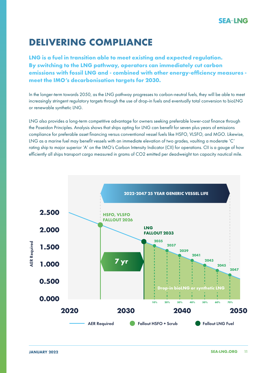## **DELIVERING COMPLIANCE**

**LNG is a fuel in transition able to meet existing and expected regulation. By switching to the LNG pathway, operators can immediately cut carbon emissions with fossil LNG and - combined with other energy-efficiency measures meet the IMO's decarbonisation targets for 2030.** 

In the longer-term towards 2050, as the LNG pathway progresses to carbon-neutral fuels, they will be able to meet increasingly stringent regulatory targets through the use of drop-in fuels and eventually total conversion to bioLNG or renewable synthetic LNG.

LNG also provides a long-term competitive advantage for owners seeking preferable lower-cost finance through the Poseidon Principles. Analysis shows that ships opting for LNG can benefit for seven plus years of emissions compliance for preferable asset financing versus conventional vessel fuels like HSFO, VLSFO, and MGO. Likewise, LNG as a marine fuel may benefit vessels with an immediate elevation of two grades, vaulting a moderate 'C' rating ship to major superior 'A' on the IMO's Carbon Intensity Indicator (CII) for operations. CII is a gauge of how efficiently all ships transport cargo measured in grams of CO2 emitted per deadweight ton capacity nautical mile.

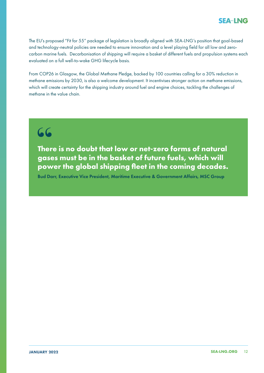The EU's proposed "Fit for 55" package of legislation is broadly aligned with SEA-LNG's position that goal-based and technology-neutral policies are needed to ensure innovation and a level playing field for all low and zerocarbon marine fuels. Decarbonisation of shipping will require a basket of different fuels and propulsion systems each evaluated on a full well-to-wake GHG lifecycle basis.

From COP26 in Glasgow, the Global Methane Pledge, backed by 100 countries calling for a 30% reduction in methane emissions by 2030, is also a welcome development. It incentivises stronger action on methane emissions, which will create certainty for the shipping industry around fuel and engine choices, tackling the challenges of methane in the value chain.

## **"**

**There is no doubt that low or net-zero forms of natural gases must be in the basket of future fuels, which will power the global shipping fleet in the coming decades.**

Bud Darr, Executive Vice President, Maritime Executive & Government Affairs, MSC Group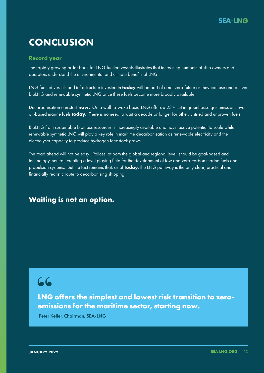## **CONCLUSION**

### **Record year**

The rapidly growing order book for LNG-fuelled vessels illustrates that increasing numbers of ship owners and operators understand the environmental and climate benefits of LNG.

LNG-fuelled vessels and infrastructure invested in **today** will be part of a net zero-future as they can use and deliver bioLNG and renewable synthetic LNG once these fuels become more broadly available.

Decarbonisation can start **now.** On a well-to-wake basis, LNG offers a 23% cut in greenhouse gas emissions over oil-based marine fuels **today.** There is no need to wait a decade or longer for other, untried and unproven fuels.

BioLNG from sustainable biomass resources is increasingly available and has massive potential to scale while renewable synthetic LNG will play a key role in maritime decarbonisation as renewable electricity and the electrolyser capacity to produce hydrogen feedstock grows.

The road ahead will not be easy. Polices, at both the global and regional level, should be goal-based and technology-neutral, creating a level playing field for the development of low and zero-carbon marine fuels and propulsion systems. But the fact remains that, as of **today**, the LNG pathway is the only clear, practical and financially realistic route to decarbonising shipping.

### **Waiting is not an option.**

## **"**

**LNG offers the simplest and lowest risk transition to zeroemissions for the maritime sector, starting now.**

Peter Keller, Chairman, SEA-LNG